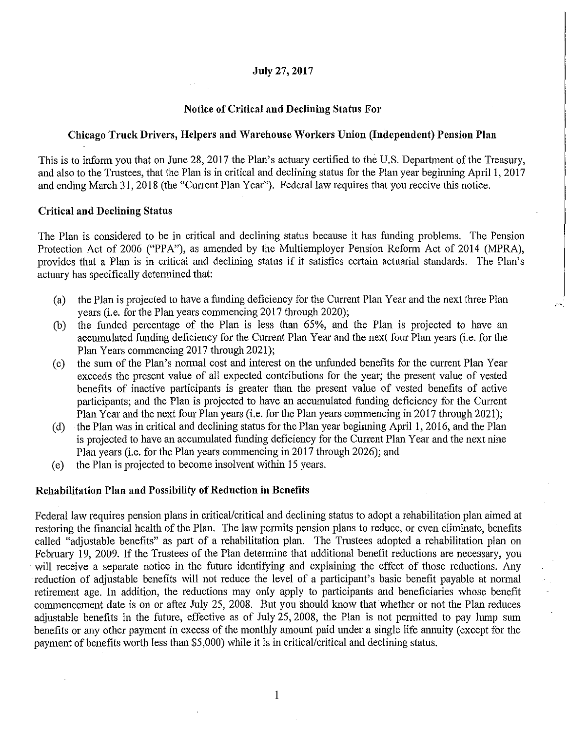## **July** 27, **2017**

## **Notice of Critical and Declining Status For**

# **Chicago Truck Drivers, Helpers and Warehouse Workers Union (Independent) Pension Plan**

This is to inform you that on June 28, 2017 the Plan's actuary certified to the U.S. Department of the Treasury, and also to the Trustees, that the Plan is in critical and declining status for the Plan year beginning April I, 2017 and ending March 31, 2018 (the "Current Plan Year"). Federal law requires that you receive this notice.

### **Critical and Declining Status**

The Plan is considered to be in critical and declining status because it has funding problems. The Pension Protection Act of 2006 ("PPA"), as amended by the Multiemployer Pension Reform Act of 2014 (MPRA), provides that a Plan is in critical and declining status if it satisfies certain actuarial standards. The Plan's actuary has specifically determined that:

(a) the Plan is projected to have a funding deficiency for the Current Plan Year and the next three Plan years (i.e. for the Plan years commencing 2017 through 2020);

 $\sqrt{2\pi}$ 

- (b) the funded percentage of the Plan is less than 65%, and the Plan is projected to have an accumulated funding deficiency for the Current Plan Year and the next four Plan years (i.e. for the Plan Years commencing 2017 through 2021);
- (c) the sum of the Plan's normal cost and interest on the unfunded benefits for the current Plan Year exceeds the present value of all. expected contributions for the year; the present value of vested benefits of inactive participants is greater than the present value of vested benefits of active participants; and the Plan is projected to have an accumulated funding deficiency for the Current Plan Year and the next four Plan years (i.e. for the Plan years commencing in 2017 through 2021 );
- ( d) the Plan was in critical and declining status for the Plan year beginning April 1, 2016, and the Plan is projected to have an accumulated funding deficiency for the Current Plan Year and the next nine Plan years (i.e. for the Plan years commencing in 2017 through 2026); and
- ( e) the Plan is projected to become insolvent within 15 years.

### **Rehabilitation Plan and Possibility of Reduction in Benefits**

Federal law requires pension plans in critical/critical and declining status to adopt a rehabilitation plan aimed at restoring the financial health of the Plan. The law permits pension plans to reduce, or even eliminate, benefits called "adjustable benefits" as part of a rehabilitation plan. The Trustees adopted a rehabilitation plan on Februaty 19, 2009. If the Trustees of the Plan determine that additional benefit reductions are necessary, you will receive a separate notice in the future identifying and explaining the effect of those reductions. Any reduction of adjustable benefits will not reduce the level of a participant's basic benefit payable at normal retirement age. In addition, the reductions may only apply to participants and beneficiaries whose benefit commencement date is on or after July 25, 2008. But you should know that whether or not the Plan reduces adjustable benefits in the future, effective as of July 25, 2008, the Plan is not permitted to pay lump sum benefits or any other payment in excess of the monthly amount paid under a single life annuity (except for the payment of benefits worth less than \$5,000) while it is in critical/critical and declining status.

1